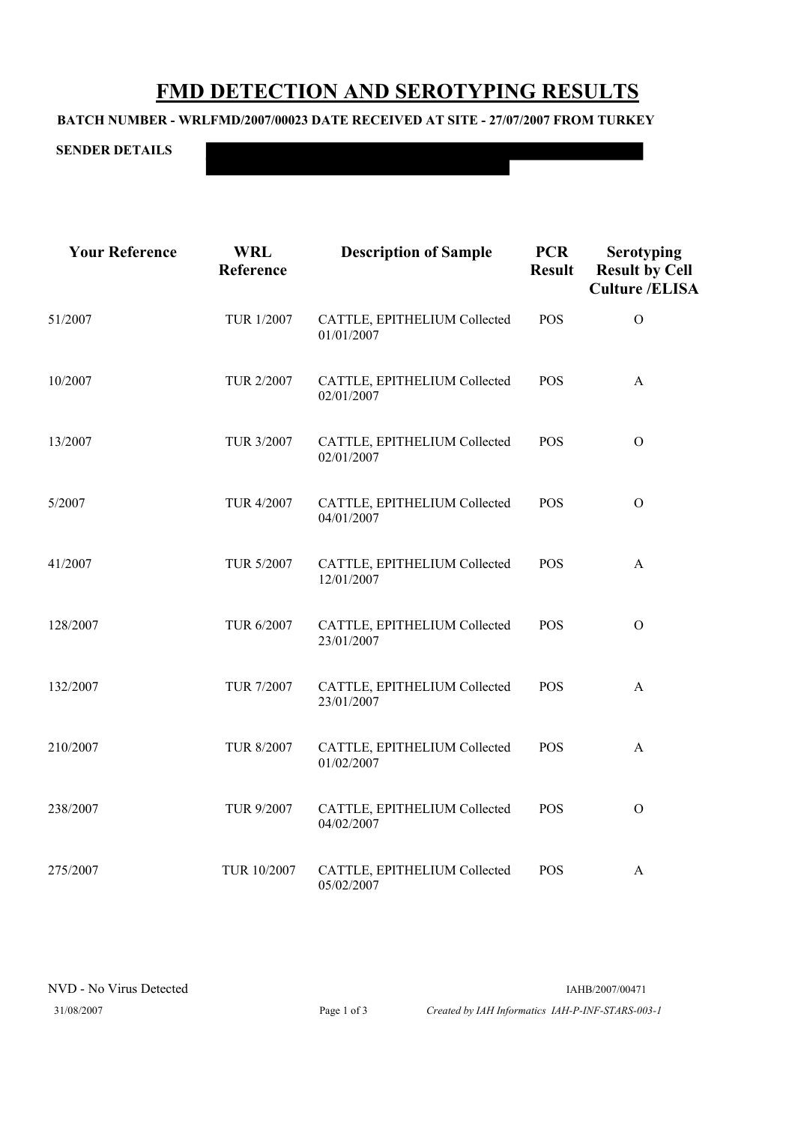## **FMD DETECTION AND SEROTYPING RESULTS**

## **BATCH NUMBER - WRLFMD/2007/00023 DATE RECEIVED AT SITE - 27/07/2007 FROM TURKEY**

**SENDER DETAILS**

**Your Reference WRL Description of Sample PCR Serotyping Reference Result Result Result Result B Culture /ELISA**

| 51/2007  | TUR 1/2007        | CATTLE, EPITHELIUM Collected<br>01/01/2007 | <b>POS</b> | $\mathcal{O}$ |
|----------|-------------------|--------------------------------------------|------------|---------------|
| 10/2007  | TUR 2/2007        | CATTLE, EPITHELIUM Collected<br>02/01/2007 | <b>POS</b> | $\mathbf{A}$  |
| 13/2007  | TUR 3/2007        | CATTLE, EPITHELIUM Collected<br>02/01/2007 | <b>POS</b> | $\Omega$      |
| 5/2007   | TUR 4/2007        | CATTLE, EPITHELIUM Collected<br>04/01/2007 | POS        | $\Omega$      |
| 41/2007  | TUR 5/2007        | CATTLE, EPITHELIUM Collected<br>12/01/2007 | <b>POS</b> | A             |
| 128/2007 | TUR 6/2007        | CATTLE, EPITHELIUM Collected<br>23/01/2007 | <b>POS</b> | $\Omega$      |
| 132/2007 | <b>TUR 7/2007</b> | CATTLE, EPITHELIUM Collected<br>23/01/2007 | <b>POS</b> | $\mathbf{A}$  |
| 210/2007 | <b>TUR 8/2007</b> | CATTLE, EPITHELIUM Collected<br>01/02/2007 | <b>POS</b> | A             |
| 238/2007 | TUR 9/2007        | CATTLE, EPITHELIUM Collected<br>04/02/2007 | POS        | $\Omega$      |
| 275/2007 | TUR 10/2007       | CATTLE, EPITHELIUM Collected<br>05/02/2007 | <b>POS</b> | A             |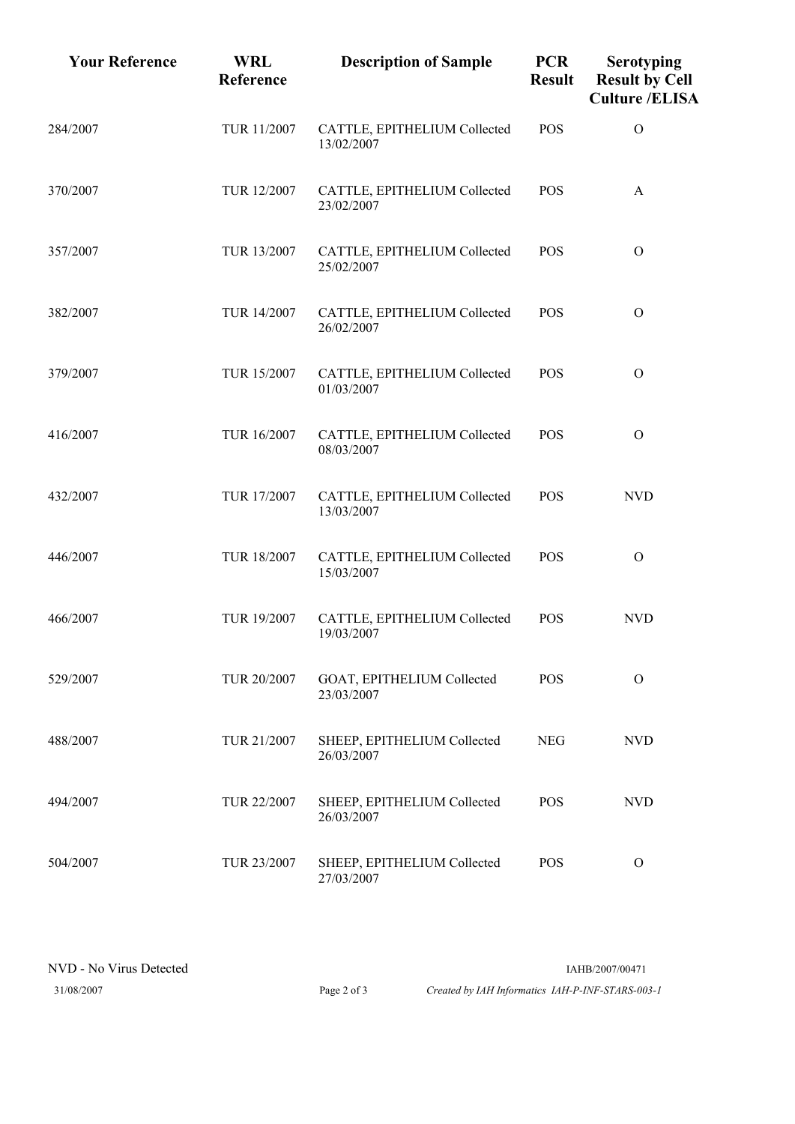| <b>Your Reference</b> | <b>WRL</b><br>Reference | <b>Description of Sample</b>               | <b>PCR</b><br><b>Result</b> | <b>Serotyping</b><br><b>Result by Cell</b><br><b>Culture /ELISA</b> |
|-----------------------|-------------------------|--------------------------------------------|-----------------------------|---------------------------------------------------------------------|
| 284/2007              | TUR 11/2007             | CATTLE, EPITHELIUM Collected<br>13/02/2007 | <b>POS</b>                  | $\mathcal{O}$                                                       |
| 370/2007              | TUR 12/2007             | CATTLE, EPITHELIUM Collected<br>23/02/2007 | <b>POS</b>                  | A                                                                   |
| 357/2007              | TUR 13/2007             | CATTLE, EPITHELIUM Collected<br>25/02/2007 | <b>POS</b>                  | $\Omega$                                                            |
| 382/2007              | TUR 14/2007             | CATTLE, EPITHELIUM Collected<br>26/02/2007 | <b>POS</b>                  | $\mathcal{O}$                                                       |
| 379/2007              | TUR 15/2007             | CATTLE, EPITHELIUM Collected<br>01/03/2007 | <b>POS</b>                  | $\Omega$                                                            |
| 416/2007              | TUR 16/2007             | CATTLE, EPITHELIUM Collected<br>08/03/2007 | POS                         | $\mathcal{O}$                                                       |
| 432/2007              | TUR 17/2007             | CATTLE, EPITHELIUM Collected<br>13/03/2007 | <b>POS</b>                  | <b>NVD</b>                                                          |
| 446/2007              | TUR 18/2007             | CATTLE, EPITHELIUM Collected<br>15/03/2007 | <b>POS</b>                  | $\Omega$                                                            |
| 466/2007              | TUR 19/2007             | CATTLE, EPITHELIUM Collected<br>19/03/2007 | <b>POS</b>                  | <b>NVD</b>                                                          |
| 529/2007              | TUR 20/2007             | GOAT, EPITHELIUM Collected<br>23/03/2007   | <b>POS</b>                  | $\Omega$                                                            |
| 488/2007              | TUR 21/2007             | SHEEP, EPITHELIUM Collected<br>26/03/2007  | <b>NEG</b>                  | <b>NVD</b>                                                          |
| 494/2007              | TUR 22/2007             | SHEEP, EPITHELIUM Collected<br>26/03/2007  | <b>POS</b>                  | <b>NVD</b>                                                          |
| 504/2007              | TUR 23/2007             | SHEEP, EPITHELIUM Collected<br>27/03/2007  | <b>POS</b>                  | $\Omega$                                                            |

31/08/2007 Page 2 of 3 *Created by IAH Informatics IAH-P-INF-STARS-003-1*